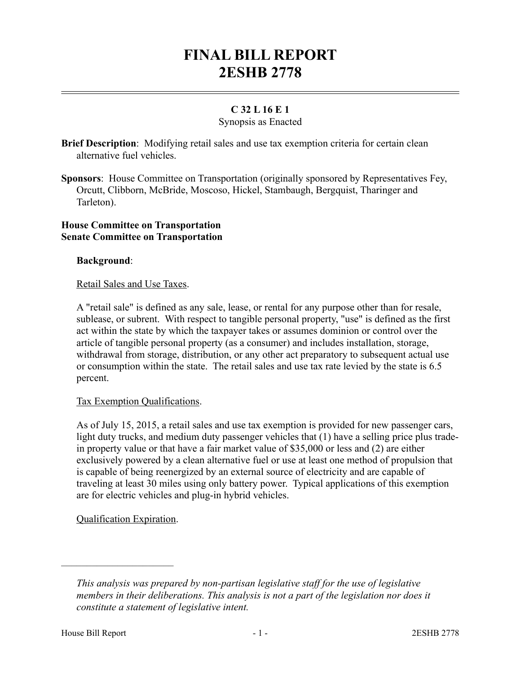# **FINAL BILL REPORT 2ESHB 2778**

# **C 32 L 16 E 1**

# Synopsis as Enacted

**Brief Description**: Modifying retail sales and use tax exemption criteria for certain clean alternative fuel vehicles.

**Sponsors**: House Committee on Transportation (originally sponsored by Representatives Fey, Orcutt, Clibborn, McBride, Moscoso, Hickel, Stambaugh, Bergquist, Tharinger and Tarleton).

#### **House Committee on Transportation Senate Committee on Transportation**

# **Background**:

#### Retail Sales and Use Taxes.

A "retail sale" is defined as any sale, lease, or rental for any purpose other than for resale, sublease, or subrent. With respect to tangible personal property, "use" is defined as the first act within the state by which the taxpayer takes or assumes dominion or control over the article of tangible personal property (as a consumer) and includes installation, storage, withdrawal from storage, distribution, or any other act preparatory to subsequent actual use or consumption within the state. The retail sales and use tax rate levied by the state is 6.5 percent.

# Tax Exemption Qualifications.

As of July 15, 2015, a retail sales and use tax exemption is provided for new passenger cars, light duty trucks, and medium duty passenger vehicles that (1) have a selling price plus tradein property value or that have a fair market value of \$35,000 or less and (2) are either exclusively powered by a clean alternative fuel or use at least one method of propulsion that is capable of being reenergized by an external source of electricity and are capable of traveling at least 30 miles using only battery power. Typical applications of this exemption are for electric vehicles and plug-in hybrid vehicles.

# Qualification Expiration.

––––––––––––––––––––––

*This analysis was prepared by non-partisan legislative staff for the use of legislative members in their deliberations. This analysis is not a part of the legislation nor does it constitute a statement of legislative intent.*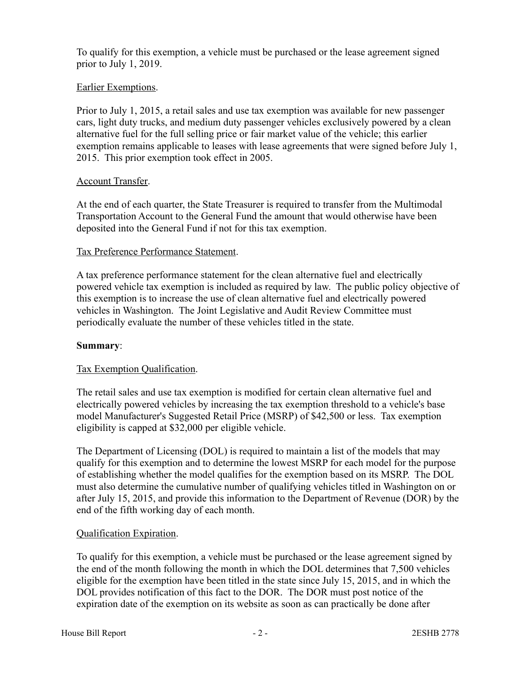To qualify for this exemption, a vehicle must be purchased or the lease agreement signed prior to July 1, 2019.

#### Earlier Exemptions.

Prior to July 1, 2015, a retail sales and use tax exemption was available for new passenger cars, light duty trucks, and medium duty passenger vehicles exclusively powered by a clean alternative fuel for the full selling price or fair market value of the vehicle; this earlier exemption remains applicable to leases with lease agreements that were signed before July 1, 2015. This prior exemption took effect in 2005.

#### Account Transfer.

At the end of each quarter, the State Treasurer is required to transfer from the Multimodal Transportation Account to the General Fund the amount that would otherwise have been deposited into the General Fund if not for this tax exemption.

#### Tax Preference Performance Statement.

A tax preference performance statement for the clean alternative fuel and electrically powered vehicle tax exemption is included as required by law. The public policy objective of this exemption is to increase the use of clean alternative fuel and electrically powered vehicles in Washington. The Joint Legislative and Audit Review Committee must periodically evaluate the number of these vehicles titled in the state.

#### **Summary**:

#### Tax Exemption Qualification.

The retail sales and use tax exemption is modified for certain clean alternative fuel and electrically powered vehicles by increasing the tax exemption threshold to a vehicle's base model Manufacturer's Suggested Retail Price (MSRP) of \$42,500 or less. Tax exemption eligibility is capped at \$32,000 per eligible vehicle.

The Department of Licensing (DOL) is required to maintain a list of the models that may qualify for this exemption and to determine the lowest MSRP for each model for the purpose of establishing whether the model qualifies for the exemption based on its MSRP. The DOL must also determine the cumulative number of qualifying vehicles titled in Washington on or after July 15, 2015, and provide this information to the Department of Revenue (DOR) by the end of the fifth working day of each month.

# Qualification Expiration.

To qualify for this exemption, a vehicle must be purchased or the lease agreement signed by the end of the month following the month in which the DOL determines that 7,500 vehicles eligible for the exemption have been titled in the state since July 15, 2015, and in which the DOL provides notification of this fact to the DOR. The DOR must post notice of the expiration date of the exemption on its website as soon as can practically be done after